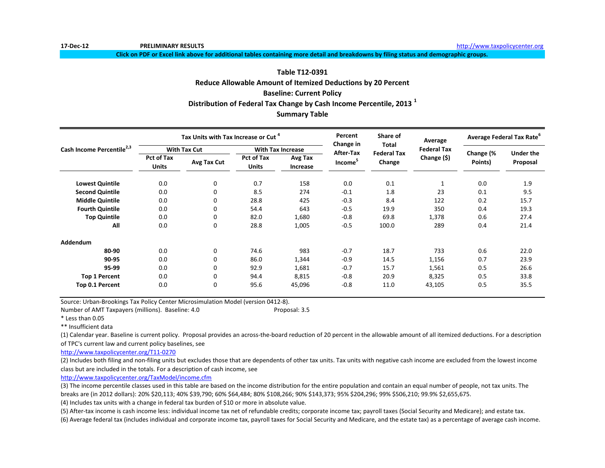**17-Dec-12 PRELIMINARY RESULTS** [h](http://www.taxpolicycenter.org/)ttp://www.taxpolicycenter.org

**Click on PDF or Excel link above for additional tables containing more detail and breakdowns by filing status and demographic groups.**

# **Table T12-0391**

**Distribution of Federal Tax Change by Cash Income Percentile, 2013 <sup>1</sup> Summary Table Reduce Allowable Amount of Itemized Deductions by 20 Percent Baseline: Current Policy**

|                                       |                                   | Tax Units with Tax Increase or Cut <sup>4</sup> |                                   |                          | Percent                | Share of<br>Total            | Average            | Average Federal Tax Rate <sup>o</sup> |                       |
|---------------------------------------|-----------------------------------|-------------------------------------------------|-----------------------------------|--------------------------|------------------------|------------------------------|--------------------|---------------------------------------|-----------------------|
| Cash Income Percentile <sup>2,3</sup> |                                   | <b>With Tax Cut</b>                             |                                   | <b>With Tax Increase</b> | Change in<br>After-Tax |                              | <b>Federal Tax</b> |                                       |                       |
|                                       | <b>Pct of Tax</b><br><b>Units</b> | Avg Tax Cut                                     | <b>Pct of Tax</b><br><b>Units</b> | Avg Tax<br>Increase      | Income <sup>5</sup>    | <b>Federal Tax</b><br>Change | Change $(5)$       | Change (%<br>Points)                  | Under the<br>Proposal |
| <b>Lowest Quintile</b>                | 0.0                               | 0                                               | 0.7                               | 158                      | 0.0                    | 0.1                          |                    | 0.0                                   | 1.9                   |
| <b>Second Quintile</b>                | 0.0                               | 0                                               | 8.5                               | 274                      | $-0.1$                 | 1.8                          | 23                 | 0.1                                   | 9.5                   |
| <b>Middle Quintile</b>                | 0.0                               | 0                                               | 28.8                              | 425                      | $-0.3$                 | 8.4                          | 122                | 0.2                                   | 15.7                  |
| <b>Fourth Quintile</b>                | 0.0                               | 0                                               | 54.4                              | 643                      | $-0.5$                 | 19.9                         | 350                | 0.4                                   | 19.3                  |
| <b>Top Quintile</b>                   | 0.0                               | 0                                               | 82.0                              | 1,680                    | $-0.8$                 | 69.8                         | 1,378              | 0.6                                   | 27.4                  |
| All                                   | 0.0                               | 0                                               | 28.8                              | 1,005                    | $-0.5$                 | 100.0                        | 289                | 0.4                                   | 21.4                  |
| <b>Addendum</b>                       |                                   |                                                 |                                   |                          |                        |                              |                    |                                       |                       |
| 80-90                                 | 0.0                               | 0                                               | 74.6                              | 983                      | $-0.7$                 | 18.7                         | 733                | 0.6                                   | 22.0                  |
| 90-95                                 | 0.0                               | 0                                               | 86.0                              | 1,344                    | $-0.9$                 | 14.5                         | 1,156              | 0.7                                   | 23.9                  |
| 95-99                                 | 0.0                               | 0                                               | 92.9                              | 1,681                    | $-0.7$                 | 15.7                         | 1,561              | 0.5                                   | 26.6                  |
| <b>Top 1 Percent</b>                  | 0.0                               | 0                                               | 94.4                              | 8,815                    | $-0.8$                 | 20.9                         | 8,325              | 0.5                                   | 33.8                  |
| Top 0.1 Percent                       | 0.0                               | 0                                               | 95.6                              | 45,096                   | $-0.8$                 | 11.0                         | 43,105             | 0.5                                   | 35.5                  |

Source: Urban-Brookings Tax Policy Center Microsimulation Model (version 0412-8).

Number of AMT Taxpayers (millions). Baseline: 4.0 Proposal: 3.5

\* Less than 0.05

\*\* Insufficient data

(1) Calendar year. Baseline is current policy. Proposal provides an across-the-board reduction of 20 percent in the allowable amount of all itemized deductions. For a description of TPC's current law and current policy baselines, see

[http://www.taxpolicycente](http://www.taxpolicycenter.org/T11-0270)r.org/T11-0270

(2) Includes both filing and non-filing units but excludes those that are dependents of other tax units. Tax units with negative cash income are excluded from the lowest income class but are included in the totals. For a description of cash income, see

[http://www.taxpolicycente](http://www.taxpolicycenter.org/TaxModel/income.cfm)r.org/TaxModel/income.cfm

(3) The income percentile classes used in this table are based on the income distribution for the entire population and contain an equal number of people, not tax units. The breaks are (in 2012 dollars): 20% \$20,113; 40% \$39,790; 60% \$64,484; 80% \$108,266; 90% \$143,373; 95% \$204,296; 99% \$506,210; 99.9% \$2,655,675.

(4) Includes tax units with a change in federal tax burden of \$10 or more in absolute value.

(5) After-tax income is cash income less: individual income tax net of refundable credits; corporate income tax; payroll taxes (Social Security and Medicare); and estate tax.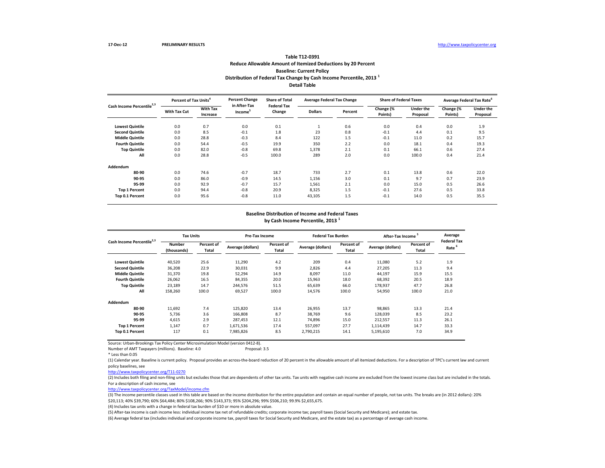# **Detail Table Table T12-0391 Reduce Allowable Amount of Itemized Deductions by 20 Percent Baseline: Current Policy Distribution of Federal Tax Change by Cash Income Percentile, 2013 <sup>1</sup>**

| Cash Income Percentile <sup>2,3</sup> | Percent of Tax Units <sup>4</sup> |                             | <b>Percent Change</b>               | <b>Share of Total</b><br><b>Federal Tax</b> | <b>Average Federal Tax Change</b> |         | <b>Share of Federal Taxes</b> |                       | Average Federal Tax Rate <sup>6</sup> |                              |
|---------------------------------------|-----------------------------------|-----------------------------|-------------------------------------|---------------------------------------------|-----------------------------------|---------|-------------------------------|-----------------------|---------------------------------------|------------------------------|
|                                       | With Tax Cut                      | <b>With Tax</b><br>Increase | in After-Tax<br>Income <sup>5</sup> | Change                                      | <b>Dollars</b>                    | Percent | Change (%<br>Points)          | Under the<br>Proposal | Change (%<br>Points)                  | <b>Under the</b><br>Proposal |
| <b>Lowest Quintile</b>                | 0.0                               | 0.7                         | 0.0                                 | 0.1                                         | Ι.                                | 0.6     | 0.0                           | 0.4                   | 0.0                                   | 1.9                          |
| <b>Second Quintile</b>                | 0.0                               | 8.5                         | $-0.1$                              | 1.8                                         | 23                                | 0.8     | $-0.1$                        | 4.4                   | 0.1                                   | 9.5                          |
| <b>Middle Quintile</b>                | 0.0                               | 28.8                        | $-0.3$                              | 8.4                                         | 122                               | 1.5     | $-0.1$                        | 11.0                  | 0.2                                   | 15.7                         |
| <b>Fourth Quintile</b>                | 0.0                               | 54.4                        | $-0.5$                              | 19.9                                        | 350                               | 2.2     | 0.0                           | 18.1                  | 0.4                                   | 19.3                         |
| <b>Top Quintile</b>                   | 0.0                               | 82.0                        | $-0.8$                              | 69.8                                        | 1,378                             | 2.1     | 0.1                           | 66.1                  | 0.6                                   | 27.4                         |
| All                                   | 0.0                               | 28.8                        | $-0.5$                              | 100.0                                       | 289                               | 2.0     | 0.0                           | 100.0                 | 0.4                                   | 21.4                         |
| Addendum                              |                                   |                             |                                     |                                             |                                   |         |                               |                       |                                       |                              |
| 80-90                                 | 0.0                               | 74.6                        | $-0.7$                              | 18.7                                        | 733                               | 2.7     | 0.1                           | 13.8                  | 0.6                                   | 22.0                         |
| 90-95                                 | 0.0                               | 86.0                        | $-0.9$                              | 14.5                                        | 1,156                             | 3.0     | 0.1                           | 9.7                   | 0.7                                   | 23.9                         |
| 95-99                                 | 0.0                               | 92.9                        | $-0.7$                              | 15.7                                        | 1,561                             | 2.1     | 0.0                           | 15.0                  | 0.5                                   | 26.6                         |
| <b>Top 1 Percent</b>                  | 0.0                               | 94.4                        | $-0.8$                              | 20.9                                        | 8,325                             | 1.5     | $-0.1$                        | 27.6                  | 0.5                                   | 33.8                         |
| Top 0.1 Percent                       | 0.0                               | 95.6                        | $-0.8$                              | 11.0                                        | 43,105                            | 1.5     | $-0.1$                        | 14.0                  | 0.5                                   | 35.5                         |

### **Baseline Distribution of Income and Federal Taxes**

**by Cash Income Percentile, 2013 <sup>1</sup>**

| Cash Income Percentile <sup>2,3</sup> |                       | <b>Tax Units</b>    |                   | <b>Pre-Tax Income</b> |                   | <b>Federal Tax Burden</b> | <b>After-Tax Income</b> |                     | Average<br><b>Federal Tax</b> |
|---------------------------------------|-----------------------|---------------------|-------------------|-----------------------|-------------------|---------------------------|-------------------------|---------------------|-------------------------------|
|                                       | Number<br>(thousands) | Percent of<br>Total | Average (dollars) | Percent of<br>Total   | Average (dollars) | Percent of<br>Total       | Average (dollars)       | Percent of<br>Total | Rate <sup>b</sup>             |
| <b>Lowest Quintile</b>                | 40,520                | 25.6                | 11,290            | 4.2                   | 209               | 0.4                       | 11,080                  | 5.2                 | 1.9                           |
| <b>Second Quintile</b>                | 36,208                | 22.9                | 30.031            | 9.9                   | 2.826             | 4.4                       | 27,205                  | 11.3                | 9.4                           |
| <b>Middle Quintile</b>                | 31,370                | 19.8                | 52,294            | 14.9                  | 8,097             | 11.0                      | 44,197                  | 15.9                | 15.5                          |
| <b>Fourth Quintile</b>                | 26.062                | 16.5                | 84.355            | 20.0                  | 15,963            | 18.0                      | 68,392                  | 20.5                | 18.9                          |
| <b>Top Quintile</b>                   | 23,189                | 14.7                | 244,576           | 51.5                  | 65,639            | 66.0                      | 178,937                 | 47.7                | 26.8                          |
| All                                   | 158,260               | 100.0               | 69,527            | 100.0                 | 14,576            | 100.0                     | 54,950                  | 100.0               | 21.0                          |
| Addendum                              |                       |                     |                   |                       |                   |                           |                         |                     |                               |
| 80-90                                 | 11.692                | 7.4                 | 125.820           | 13.4                  | 26.955            | 13.7                      | 98,865                  | 13.3                | 21.4                          |
| 90-95                                 | 5.736                 | 3.6                 | 166.808           | 8.7                   | 38.769            | 9.6                       | 128,039                 | 8.5                 | 23.2                          |
| 95-99                                 | 4.615                 | 2.9                 | 287.453           | 12.1                  | 74.896            | 15.0                      | 212,557                 | 11.3                | 26.1                          |
| <b>Top 1 Percent</b>                  | 1.147                 | 0.7                 | 1,671,536         | 17.4                  | 557,097           | 27.7                      | 1,114,439               | 14.7                | 33.3                          |
| Top 0.1 Percent                       | 117                   | 0.1                 | 7,985,826         | 8.5                   | 2,790,215         | 14.1                      | 5,195,610               | 7.0                 | 34.9                          |

Source: Urban-Brookings Tax Policy Center Microsimulation Model (version 0412-8).

Number of AMT Taxpayers (millions). Baseline: 4.0

\* Less than 0.05

(1) Calendar year. Baseline is current policy. Proposal provides an across-the-board reduction of 20 percent in the allowable amount of all itemized deductions. For a description of TPC's current law and current policy baselines, see

[http://www.taxpolicycente](http://www.taxpolicycenter.org/T11-0270)r.org/T11-0270

(2) Includes both filing and non-filing units but excludes those that are dependents of other tax units. Tax units with negative cash income are excluded from the lowest income class but are included in the totals. For a description of cash income, see

[http://www.taxpolicycente](http://www.taxpolicycenter.org/TaxModel/income.cfm)r.org/TaxModel/income.cfm

(3) The income percentile classes used in this table are based on the income distribution for the entire population and contain an equal number of people, not tax units. The breaks are (in 2012 dollars): 20% \$20,113; 40% \$39,790; 60% \$64,484; 80% \$108,266; 90% \$143,373; 95% \$204,296; 99% \$506,210; 99.9% \$2,655,675.

(4) Includes tax units with a change in federal tax burden of \$10 or more in absolute value.

(5) After-tax income is cash income less: individual income tax net of refundable credits; corporate income tax; payroll taxes (Social Security and Medicare); and estate tax.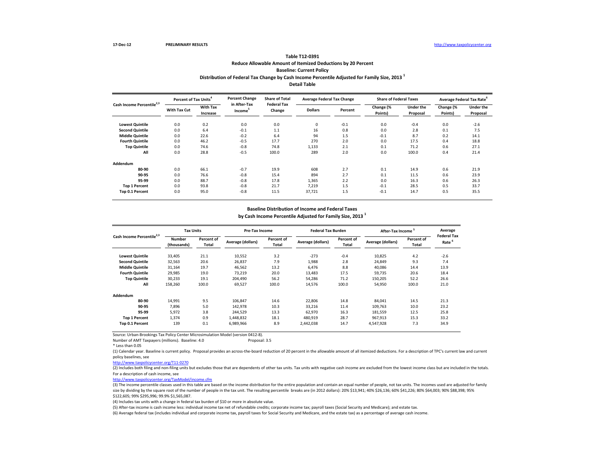### **Distribution of Federal Tax Change by Cash Income Percentile Adjusted for Family Size, 2013 <sup>1</sup> Detail Table Table T12-0391 Reduce Allowable Amount of Itemized Deductions by 20 Percent Baseline: Current Policy**

| Cash Income Percentile <sup>2,3</sup> | Percent of Tax Units <sup>4</sup> |                             | <b>Percent Change</b><br>in After-Tax | <b>Share of Total</b><br><b>Federal Tax</b> | <b>Average Federal Tax Change</b> |         | <b>Share of Federal Taxes</b> |                       | Average Federal Tax Rate |                              |
|---------------------------------------|-----------------------------------|-----------------------------|---------------------------------------|---------------------------------------------|-----------------------------------|---------|-------------------------------|-----------------------|--------------------------|------------------------------|
|                                       | <b>With Tax Cut</b>               | <b>With Tax</b><br>Increase | Income <sup>3</sup>                   | Change                                      | <b>Dollars</b>                    | Percent | Change (%<br>Points)          | Under the<br>Proposal | Change (%<br>Points)     | <b>Under the</b><br>Proposal |
| <b>Lowest Quintile</b>                | 0.0                               | 0.2                         | 0.0                                   | 0.0                                         | $\mathbf 0$                       | $-0.1$  | 0.0                           | $-0.4$                | 0.0                      | $-2.6$                       |
| <b>Second Quintile</b>                | 0.0                               | 6.4                         | $-0.1$                                | 1.1                                         | 16                                | 0.8     | 0.0                           | 2.8                   | 0.1                      | 7.5                          |
| <b>Middle Quintile</b>                | 0.0                               | 22.6                        | $-0.2$                                | 6.4                                         | 94                                | 1.5     | $-0.1$                        | 8.7                   | 0.2                      | 14.1                         |
| <b>Fourth Quintile</b>                | 0.0                               | 46.2                        | $-0.5$                                | 17.7                                        | 270                               | 2.0     | 0.0                           | 17.5                  | 0.4                      | 18.8                         |
| <b>Top Quintile</b>                   | 0.0                               | 74.6                        | $-0.8$                                | 74.8                                        | 1,133                             | 2.1     | 0.1                           | 71.2                  | 0.6                      | 27.1                         |
| All                                   | 0.0                               | 28.8                        | $-0.5$                                | 100.0                                       | 289                               | 2.0     | 0.0                           | 100.0                 | 0.4                      | 21.4                         |
| Addendum                              |                                   |                             |                                       |                                             |                                   |         |                               |                       |                          |                              |
| 80-90                                 | 0.0                               | 66.1                        | $-0.7$                                | 19.9                                        | 608                               | 2.7     | 0.1                           | 14.9                  | 0.6                      | 21.9                         |
| 90-95                                 | 0.0                               | 76.6                        | $-0.8$                                | 15.4                                        | 894                               | 2.7     | 0.1                           | 11.5                  | 0.6                      | 23.9                         |
| 95-99                                 | 0.0                               | 88.7                        | $-0.8$                                | 17.8                                        | 1,365                             | 2.2     | 0.0                           | 16.3                  | 0.6                      | 26.3                         |
| <b>Top 1 Percent</b>                  | 0.0                               | 93.8                        | $-0.8$                                | 21.7                                        | 7,219                             | 1.5     | $-0.1$                        | 28.5                  | 0.5                      | 33.7                         |
| Top 0.1 Percent                       | 0.0                               | 95.0                        | $-0.8$                                | 11.5                                        | 37,721                            | 1.5     | $-0.1$                        | 14.7                  | 0.5                      | 35.5                         |

#### **Baseline Distribution of Income and Federal Taxes**

**by Cash Income Percentile Adjusted for Family Size, 2013 <sup>1</sup>**

| Cash Income Percentile <sup>2,3</sup> |                       | <b>Tax Units</b>    |                   | Pre-Tax Income      |                   | <b>Federal Tax Burden</b> | After-Tax Income  |                     | Average<br><b>Federal Tax</b> |
|---------------------------------------|-----------------------|---------------------|-------------------|---------------------|-------------------|---------------------------|-------------------|---------------------|-------------------------------|
|                                       | Number<br>(thousands) | Percent of<br>Total | Average (dollars) | Percent of<br>Total | Average (dollars) | Percent of<br>Total       | Average (dollars) | Percent of<br>Total | Rate                          |
| <b>Lowest Quintile</b>                | 33,405                | 21.1                | 10,552            | 3.2                 | $-273$            | $-0.4$                    | 10,825            | 4.2                 | $-2.6$                        |
| <b>Second Quintile</b>                | 32,563                | 20.6                | 26,837            | 7.9                 | 1,988             | 2.8                       | 24,849            | 9.3                 | 7.4                           |
| <b>Middle Quintile</b>                | 31,164                | 19.7                | 46,562            | 13.2                | 6.476             | 8.8                       | 40.086            | 14.4                | 13.9                          |
| <b>Fourth Quintile</b>                | 29,985                | 19.0                | 73.219            | 20.0                | 13,483            | 17.5                      | 59,735            | 20.6                | 18.4                          |
| <b>Top Quintile</b>                   | 30,233                | 19.1                | 204.490           | 56.2                | 54,286            | 71.2                      | 150.205           | 52.2                | 26.6                          |
| All                                   | 158,260               | 100.0               | 69,527            | 100.0               | 14,576            | 100.0                     | 54,950            | 100.0               | 21.0                          |
| Addendum                              |                       |                     |                   |                     |                   |                           |                   |                     |                               |
| 80-90                                 | 14,991                | 9.5                 | 106,847           | 14.6                | 22,806            | 14.8                      | 84,041            | 14.5                | 21.3                          |
| 90-95                                 | 7.896                 | 5.0                 | 142,978           | 10.3                | 33,216            | 11.4                      | 109,763           | 10.0                | 23.2                          |
| 95-99                                 | 5.972                 | 3.8                 | 244,529           | 13.3                | 62.970            | 16.3                      | 181.559           | 12.5                | 25.8                          |
| <b>Top 1 Percent</b>                  | 1.374                 | 0.9                 | 1,448,832         | 18.1                | 480,919           | 28.7                      | 967.913           | 15.3                | 33.2                          |
| Top 0.1 Percent                       | 139                   | 0.1                 | 6,989,966         | 8.9                 | 2,442,038         | 14.7                      | 4,547,928         | 7.3                 | 34.9                          |

Source: Urban-Brookings Tax Policy Center Microsimulation Model (version 0412-8).

Number of AMT Taxpayers (millions). Baseline: 4.0

\* Less than 0.05

(1) Calendar year. Baseline is current policy. Proposal provides an across-the-board reduction of 20 percent in the allowable amount of all itemized deductions. For a description of TPC's current law and current policy baselines, see

[http://www.taxpolicycente](http://www.taxpolicycenter.org/T11-0270)r.org/T11-0270

(2) Includes both filing and non-filing units but excludes those that are dependents of other tax units. Tax units with negative cash income are excluded from the lowest income class but are included in the totals. For a description of cash income, see

[http://www.taxpolicycente](http://www.taxpolicycenter.org/TaxModel/income.cfm)r.org/TaxModel/income.cfm

(3) The income percentile classes used in this table are based on the income distribution for the entire population and contain an equal number of people, not tax units. The incomes used are adjusted for family size by dividing by the square root of the number of people in the tax unit. The resulting percentile breaks are (in 2012 dollars): 20% \$13,941; 40% \$26,136; 60% \$41,226; 80% \$64,003; 90% \$88,398; 95% \$122,605; 99% \$295,996; 99.9% \$1,565,087.

(4) Includes tax units with a change in federal tax burden of \$10 or more in absolute value.

(5) After-tax income is cash income less: individual income tax net of refundable credits; corporate income tax; payroll taxes (Social Security and Medicare); and estate tax.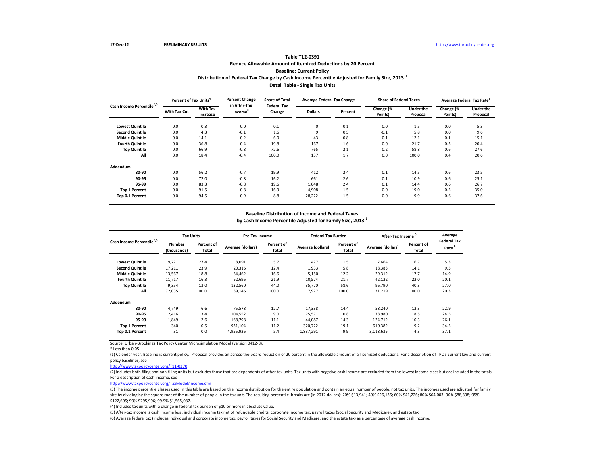# **Distribution of Federal Tax Change by Cash Income Percentile Adjusted for Family Size, 2013 <sup>1</sup> Detail Table - Single Tax Units Table T12-0391 Reduce Allowable Amount of Itemized Deductions by 20 Percent Baseline: Current Policy**

| Cash Income Percentile <sup>2,3</sup> | Percent of Tax Units <sup>4</sup> |                             | <b>Percent Change</b><br>in After-Tax | <b>Share of Total</b><br><b>Federal Tax</b> | <b>Average Federal Tax Change</b> |         | <b>Share of Federal Taxes</b> |                              |                      | Average Federal Tax Rate     |
|---------------------------------------|-----------------------------------|-----------------------------|---------------------------------------|---------------------------------------------|-----------------------------------|---------|-------------------------------|------------------------------|----------------------|------------------------------|
|                                       | With Tax Cut                      | <b>With Tax</b><br>Increase | Income <sup>3</sup>                   | Change                                      | <b>Dollars</b>                    | Percent | Change (%<br>Points)          | <b>Under the</b><br>Proposal | Change (%<br>Points) | <b>Under the</b><br>Proposal |
| <b>Lowest Quintile</b>                | 0.0                               | 0.3                         | 0.0                                   | 0.1                                         | 0                                 | 0.1     | 0.0                           | 1.5                          | 0.0                  | 5.3                          |
| <b>Second Quintile</b>                | 0.0                               | 4.3                         | $-0.1$                                | 1.6                                         | 9                                 | 0.5     | $-0.1$                        | 5.8                          | 0.0                  | 9.6                          |
| <b>Middle Quintile</b>                | 0.0                               | 14.1                        | $-0.2$                                | 6.0                                         | 43                                | 0.8     | $-0.1$                        | 12.1                         | 0.1                  | 15.1                         |
| <b>Fourth Quintile</b>                | 0.0                               | 36.8                        | $-0.4$                                | 19.8                                        | 167                               | 1.6     | 0.0                           | 21.7                         | 0.3                  | 20.4                         |
| <b>Top Quintile</b>                   | 0.0                               | 66.9                        | $-0.8$                                | 72.6                                        | 765                               | 2.1     | 0.2                           | 58.8                         | 0.6                  | 27.6                         |
| All                                   | 0.0                               | 18.4                        | $-0.4$                                | 100.0                                       | 137                               | 1.7     | 0.0                           | 100.0                        | 0.4                  | 20.6                         |
| Addendum                              |                                   |                             |                                       |                                             |                                   |         |                               |                              |                      |                              |
| 80-90                                 | 0.0                               | 56.2                        | $-0.7$                                | 19.9                                        | 412                               | 2.4     | 0.1                           | 14.5                         | 0.6                  | 23.5                         |
| 90-95                                 | 0.0                               | 72.0                        | $-0.8$                                | 16.2                                        | 661                               | 2.6     | 0.1                           | 10.9                         | 0.6                  | 25.1                         |
| 95-99                                 | 0.0                               | 83.3                        | $-0.8$                                | 19.6                                        | 1,048                             | 2.4     | 0.1                           | 14.4                         | 0.6                  | 26.7                         |
| <b>Top 1 Percent</b>                  | 0.0                               | 91.5                        | $-0.8$                                | 16.9                                        | 4,908                             | 1.5     | 0.0                           | 19.0                         | 0.5                  | 35.0                         |
| Top 0.1 Percent                       | 0.0                               | 94.5                        | $-0.9$                                | 8.8                                         | 28,222                            | 1.5     | 0.0                           | 9.9                          | 0.6                  | 37.6                         |

### **Baseline Distribution of Income and Federal Taxes**

**by Cash Income Percentile Adjusted for Family Size, 2013 <sup>1</sup>**

| Cash Income Percentile <sup>2,3</sup> |                              | <b>Tax Units</b>    |                   | Pre-Tax Income      |                   | <b>Federal Tax Burden</b> | After-Tax Income  |                     | Average                                 |
|---------------------------------------|------------------------------|---------------------|-------------------|---------------------|-------------------|---------------------------|-------------------|---------------------|-----------------------------------------|
|                                       | <b>Number</b><br>(thousands) | Percent of<br>Total | Average (dollars) | Percent of<br>Total | Average (dollars) | Percent of<br>Total       | Average (dollars) | Percent of<br>Total | <b>Federal Tax</b><br>Rate <sup>6</sup> |
| <b>Lowest Quintile</b>                | 19,721                       | 27.4                | 8,091             | 5.7                 | 427               | 1.5                       | 7,664             | 6.7                 | 5.3                                     |
| <b>Second Quintile</b>                | 17,211                       | 23.9                | 20,316            | 12.4                | 1,933             | 5.8                       | 18,383            | 14.1                | 9.5                                     |
| <b>Middle Quintile</b>                | 13,567                       | 18.8                | 34,462            | 16.6                | 5,150             | 12.2                      | 29,312            | 17.7                | 14.9                                    |
| <b>Fourth Quintile</b>                | 11.717                       | 16.3                | 52.696            | 21.9                | 10,574            | 21.7                      | 42,122            | 22.0                | 20.1                                    |
| <b>Top Quintile</b>                   | 9,354                        | 13.0                | 132,560           | 44.0                | 35,770            | 58.6                      | 96,790            | 40.3                | 27.0                                    |
| All                                   | 72,035                       | 100.0               | 39,146            | 100.0               | 7,927             | 100.0                     | 31,219            | 100.0               | 20.3                                    |
| Addendum                              |                              |                     |                   |                     |                   |                           |                   |                     |                                         |
| 80-90                                 | 4.749                        | 6.6                 | 75.578            | 12.7                | 17.338            | 14.4                      | 58.240            | 12.3                | 22.9                                    |
| 90-95                                 | 2.416                        | 3.4                 | 104,552           | 9.0                 | 25,571            | 10.8                      | 78,980            | 8.5                 | 24.5                                    |
| 95-99                                 | 1.849                        | 2.6                 | 168,798           | 11.1                | 44.087            | 14.3                      | 124.712           | 10.3                | 26.1                                    |
| <b>Top 1 Percent</b>                  | 340                          | 0.5                 | 931,104           | 11.2                | 320,722           | 19.1                      | 610,382           | 9.2                 | 34.5                                    |
| Top 0.1 Percent                       | 31                           | 0.0                 | 4,955,926         | 5.4                 | 1,837,291         | 9.9                       | 3,118,635         | 4.3                 | 37.1                                    |

Source: Urban-Brookings Tax Policy Center Microsimulation Model (version 0412-8).

\* Less than 0.05

(1) Calendar year. Baseline is current policy. Proposal provides an across-the-board reduction of 20 percent in the allowable amount of all itemized deductions. For a description of TPC's current law and current policy baselines, see

[http://www.taxpolicycente](http://www.taxpolicycenter.org/T11-0270)r.org/T11-0270

(2) Includes both filing and non-filing units but excludes those that are dependents of other tax units. Tax units with negative cash income are excluded from the lowest income class but are included in the totals. For a description of cash income, see

[http://www.taxpolicycente](http://www.taxpolicycenter.org/TaxModel/income.cfm)r.org/TaxModel/income.cfm

(3) The income percentile classes used in this table are based on the income distribution for the entire population and contain an equal number of people, not tax units. The incomes used are adjusted for family size by dividing by the square root of the number of people in the tax unit. The resulting percentile breaks are (in 2012 dollars): 20% \$13,941; 40% \$26,136; 60% \$41,226; 80% \$64,003; 90% \$88,398; 95% \$122,605; 99% \$295,996; 99.9% \$1,565,087.

(4) Includes tax units with a change in federal tax burden of \$10 or more in absolute value.

(5) After-tax income is cash income less: individual income tax net of refundable credits; corporate income tax; payroll taxes (Social Security and Medicare); and estate tax.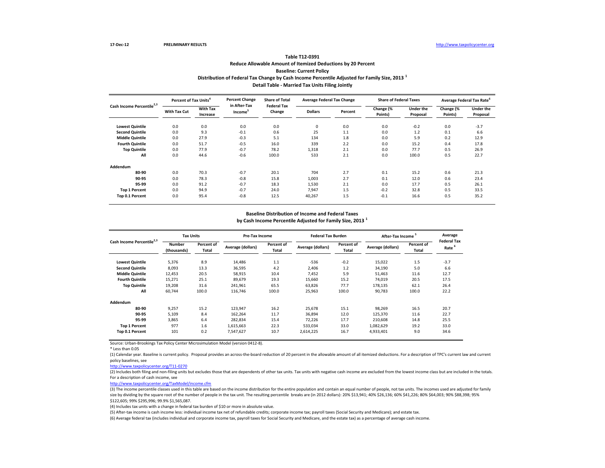# **Distribution of Federal Tax Change by Cash Income Percentile Adjusted for Family Size, 2013 <sup>1</sup> Detail Table - Married Tax Units Filing Jointly Table T12-0391 Reduce Allowable Amount of Itemized Deductions by 20 Percent Baseline: Current Policy**

| Cash Income Percentile <sup>2,3</sup> | Percent of Tax Units <sup>4</sup> |                             | <b>Percent Change</b><br>in After-Tax | <b>Share of Total</b>        | <b>Average Federal Tax Change</b> |         | <b>Share of Federal Taxes</b> |                              | Average Federal Tax Rate <sup>6</sup> |                              |
|---------------------------------------|-----------------------------------|-----------------------------|---------------------------------------|------------------------------|-----------------------------------|---------|-------------------------------|------------------------------|---------------------------------------|------------------------------|
|                                       | With Tax Cut                      | <b>With Tax</b><br>Increase | Income <sup>3</sup>                   | <b>Federal Tax</b><br>Change | <b>Dollars</b>                    | Percent | Change (%<br>Points)          | <b>Under the</b><br>Proposal | Change (%<br>Points)                  | <b>Under the</b><br>Proposal |
| <b>Lowest Quintile</b>                | 0.0                               | 0.0                         | 0.0                                   | 0.0                          | 0                                 | 0.0     | 0.0                           | $-0.2$                       | 0.0                                   | $-3.7$                       |
| <b>Second Quintile</b>                | 0.0                               | 9.3                         | $-0.1$                                | 0.6                          | 25                                | 1.1     | 0.0                           | 1.2                          | 0.1                                   | 6.6                          |
| <b>Middle Quintile</b>                | 0.0                               | 27.9                        | $-0.3$                                | 5.1                          | 134                               | 1.8     | 0.0                           | 5.9                          | 0.2                                   | 12.9                         |
| <b>Fourth Quintile</b>                | 0.0                               | 51.7                        | $-0.5$                                | 16.0                         | 339                               | 2.2     | 0.0                           | 15.2                         | 0.4                                   | 17.8                         |
| <b>Top Quintile</b>                   | 0.0                               | 77.9                        | $-0.7$                                | 78.2                         | 1,318                             | 2.1     | 0.0                           | 77.7                         | 0.5                                   | 26.9                         |
| All                                   | 0.0                               | 44.6                        | $-0.6$                                | 100.0                        | 533                               | 2.1     | 0.0                           | 100.0                        | 0.5                                   | 22.7                         |
| Addendum                              |                                   |                             |                                       |                              |                                   |         |                               |                              |                                       |                              |
| 80-90                                 | 0.0                               | 70.3                        | $-0.7$                                | 20.1                         | 704                               | 2.7     | 0.1                           | 15.2                         | 0.6                                   | 21.3                         |
| 90-95                                 | 0.0                               | 78.3                        | $-0.8$                                | 15.8                         | 1,003                             | 2.7     | 0.1                           | 12.0                         | 0.6                                   | 23.4                         |
| 95-99                                 | 0.0                               | 91.2                        | $-0.7$                                | 18.3                         | 1,530                             | 2.1     | 0.0                           | 17.7                         | 0.5                                   | 26.1                         |
| <b>Top 1 Percent</b>                  | 0.0                               | 94.9                        | $-0.7$                                | 24.0                         | 7,947                             | 1.5     | $-0.2$                        | 32.8                         | 0.5                                   | 33.5                         |
| Top 0.1 Percent                       | 0.0                               | 95.4                        | $-0.8$                                | 12.5                         | 40,267                            | 1.5     | $-0.1$                        | 16.6                         | 0.5                                   | 35.2                         |

### **Baseline Distribution of Income and Federal Taxes**

**by Cash Income Percentile Adjusted for Family Size, 2013 <sup>1</sup>**

| Cash Income Percentile <sup>2,3</sup> |                              | <b>Tax Units</b>    |                   | Pre-Tax Income      |                   | <b>Federal Tax Burden</b> | After-Tax Income  |                     | Average                                 |
|---------------------------------------|------------------------------|---------------------|-------------------|---------------------|-------------------|---------------------------|-------------------|---------------------|-----------------------------------------|
|                                       | <b>Number</b><br>(thousands) | Percent of<br>Total | Average (dollars) | Percent of<br>Total | Average (dollars) | Percent of<br>Total       | Average (dollars) | Percent of<br>Total | <b>Federal Tax</b><br>Rate <sup>6</sup> |
| <b>Lowest Quintile</b>                | 5,376                        | 8.9                 | 14,486            | 1.1                 | $-536$            | $-0.2$                    | 15,022            | 1.5                 | $-3.7$                                  |
| <b>Second Quintile</b>                | 8.093                        | 13.3                | 36,595            | 4.2                 | 2.406             | 1.2                       | 34,190            | 5.0                 | 6.6                                     |
| <b>Middle Quintile</b>                | 12,453                       | 20.5                | 58,915            | 10.4                | 7.452             | 5.9                       | 51,463            | 11.6                | 12.7                                    |
| <b>Fourth Quintile</b>                | 15,271                       | 25.1                | 89.679            | 19.3                | 15,660            | 15.2                      | 74,019            | 20.5                | 17.5                                    |
| <b>Top Quintile</b>                   | 19,208                       | 31.6                | 241,961           | 65.5                | 63,826            | 77.7                      | 178,135           | 62.1                | 26.4                                    |
| All                                   | 60,744                       | 100.0               | 116,746           | 100.0               | 25,963            | 100.0                     | 90,783            | 100.0               | 22.2                                    |
| Addendum                              |                              |                     |                   |                     |                   |                           |                   |                     |                                         |
| 80-90                                 | 9,257                        | 15.2                | 123,947           | 16.2                | 25.678            | 15.1                      | 98,269            | 16.5                | 20.7                                    |
| 90-95                                 | 5,109                        | 8.4                 | 162,264           | 11.7                | 36,894            | 12.0                      | 125,370           | 11.6                | 22.7                                    |
| 95-99                                 | 3.865                        | 6.4                 | 282.834           | 15.4                | 72.226            | 17.7                      | 210.608           | 14.8                | 25.5                                    |
| <b>Top 1 Percent</b>                  | 977                          | 1.6                 | 1,615,663         | 22.3                | 533,034           | 33.0                      | 1,082,629         | 19.2                | 33.0                                    |
| Top 0.1 Percent                       | 101                          | 0.2                 | 7,547,627         | 10.7                | 2,614,225         | 16.7                      | 4,933,401         | 9.0                 | 34.6                                    |

Source: Urban-Brookings Tax Policy Center Microsimulation Model (version 0412-8).

\* Less than 0.05

(1) Calendar year. Baseline is current policy. Proposal provides an across-the-board reduction of 20 percent in the allowable amount of all itemized deductions. For a description of TPC's current law and current policy baselines, see

[http://www.taxpolicycente](http://www.taxpolicycenter.org/T11-0270)r.org/T11-0270

(2) Includes both filing and non-filing units but excludes those that are dependents of other tax units. Tax units with negative cash income are excluded from the lowest income class but are included in the totals. For a description of cash income, see

[http://www.taxpolicycente](http://www.taxpolicycenter.org/TaxModel/income.cfm)r.org/TaxModel/income.cfm

(3) The income percentile classes used in this table are based on the income distribution for the entire population and contain an equal number of people, not tax units. The incomes used are adjusted for family size by dividing by the square root of the number of people in the tax unit. The resulting percentile breaks are (in 2012 dollars): 20% \$13,941; 40% \$26,136; 60% \$41,226; 80% \$64,003; 90% \$88,398; 95% \$122,605; 99% \$295,996; 99.9% \$1,565,087.

(4) Includes tax units with a change in federal tax burden of \$10 or more in absolute value.

(5) After-tax income is cash income less: individual income tax net of refundable credits; corporate income tax; payroll taxes (Social Security and Medicare); and estate tax.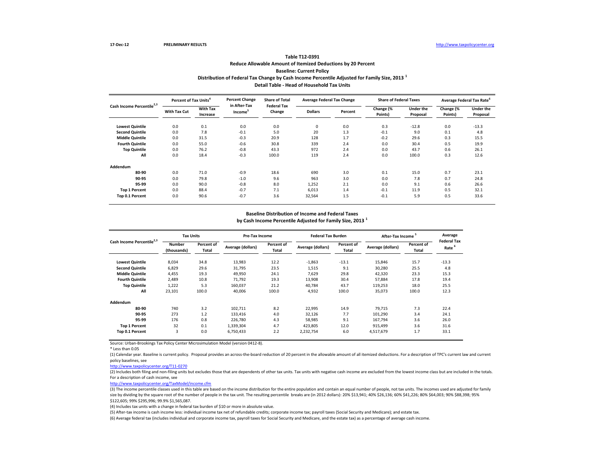# **Distribution of Federal Tax Change by Cash Income Percentile Adjusted for Family Size, 2013 <sup>1</sup> Detail Table - Head of Household Tax Units Table T12-0391 Reduce Allowable Amount of Itemized Deductions by 20 Percent Baseline: Current Policy**

| Cash Income Percentile <sup>2,3</sup> | Percent of Tax Units <sup>4</sup> |                             | <b>Percent Change</b><br>in After-Tax | <b>Share of Total</b><br><b>Federal Tax</b> | <b>Average Federal Tax Change</b> |         | <b>Share of Federal Taxes</b> |                              |                      | Average Federal Tax Rate     |
|---------------------------------------|-----------------------------------|-----------------------------|---------------------------------------|---------------------------------------------|-----------------------------------|---------|-------------------------------|------------------------------|----------------------|------------------------------|
|                                       | With Tax Cut                      | <b>With Tax</b><br>Increase | Income <sup>3</sup>                   | Change                                      | <b>Dollars</b>                    | Percent | Change (%<br>Points)          | <b>Under the</b><br>Proposal | Change (%<br>Points) | <b>Under the</b><br>Proposal |
| <b>Lowest Quintile</b>                | 0.0                               | 0.1                         | 0.0                                   | 0.0                                         | 0                                 | 0.0     | 0.3                           | $-12.8$                      | 0.0                  | $-13.3$                      |
| <b>Second Quintile</b>                | 0.0                               | 7.8                         | $-0.1$                                | 5.0                                         | 20                                | 1.3     | $-0.1$                        | 9.0                          | 0.1                  | 4.8                          |
| <b>Middle Quintile</b>                | 0.0                               | 31.5                        | $-0.3$                                | 20.9                                        | 128                               | 1.7     | $-0.2$                        | 29.6                         | 0.3                  | 15.5                         |
| <b>Fourth Quintile</b>                | 0.0                               | 55.0                        | $-0.6$                                | 30.8                                        | 339                               | 2.4     | 0.0                           | 30.4                         | 0.5                  | 19.9                         |
| <b>Top Quintile</b>                   | 0.0                               | 76.2                        | $-0.8$                                | 43.3                                        | 972                               | 2.4     | 0.0                           | 43.7                         | 0.6                  | 26.1                         |
| All                                   | 0.0                               | 18.4                        | $-0.3$                                | 100.0                                       | 119                               | 2.4     | 0.0                           | 100.0                        | 0.3                  | 12.6                         |
| Addendum                              |                                   |                             |                                       |                                             |                                   |         |                               |                              |                      |                              |
| 80-90                                 | 0.0                               | 71.0                        | $-0.9$                                | 18.6                                        | 690                               | 3.0     | 0.1                           | 15.0                         | 0.7                  | 23.1                         |
| 90-95                                 | 0.0                               | 79.8                        | $-1.0$                                | 9.6                                         | 963                               | 3.0     | 0.0                           | 7.8                          | 0.7                  | 24.8                         |
| 95-99                                 | 0.0                               | 90.0                        | $-0.8$                                | 8.0                                         | 1,252                             | 2.1     | 0.0                           | 9.1                          | 0.6                  | 26.6                         |
| <b>Top 1 Percent</b>                  | 0.0                               | 88.4                        | $-0.7$                                | 7.1                                         | 6,013                             | 1.4     | $-0.1$                        | 11.9                         | 0.5                  | 32.1                         |
| Top 0.1 Percent                       | 0.0                               | 90.6                        | $-0.7$                                | 3.6                                         | 32,564                            | 1.5     | $-0.1$                        | 5.9                          | 0.5                  | 33.6                         |

### **Baseline Distribution of Income and Federal Taxes**

**by Cash Income Percentile Adjusted for Family Size, 2013 <sup>1</sup>**

| Cash Income Percentile <sup>2,3</sup> |                              | <b>Tax Units</b>    |                   | Pre-Tax Income      |                   | <b>Federal Tax Burden</b> | After-Tax Income  |                     | Average                                 |
|---------------------------------------|------------------------------|---------------------|-------------------|---------------------|-------------------|---------------------------|-------------------|---------------------|-----------------------------------------|
|                                       | <b>Number</b><br>(thousands) | Percent of<br>Total | Average (dollars) | Percent of<br>Total | Average (dollars) | Percent of<br>Total       | Average (dollars) | Percent of<br>Total | <b>Federal Tax</b><br>Rate <sup>5</sup> |
| <b>Lowest Quintile</b>                | 8,034                        | 34.8                | 13,983            | 12.2                | $-1,863$          | $-13.1$                   | 15,846            | 15.7                | $-13.3$                                 |
| <b>Second Quintile</b>                | 6.829                        | 29.6                | 31.795            | 23.5                | 1,515             | 9.1                       | 30,280            | 25.5                | 4.8                                     |
| <b>Middle Quintile</b>                | 4,455                        | 19.3                | 49,950            | 24.1                | 7.629             | 29.8                      | 42,320            | 23.3                | 15.3                                    |
| <b>Fourth Quintile</b>                | 2.489                        | 10.8                | 71.792            | 19.3                | 13,908            | 30.4                      | 57,884            | 17.8                | 19.4                                    |
| <b>Top Quintile</b>                   | 1,222                        | 5.3                 | 160,037           | 21.2                | 40.784            | 43.7                      | 119,253           | 18.0                | 25.5                                    |
| All                                   | 23,101                       | 100.0               | 40,006            | 100.0               | 4,932             | 100.0                     | 35,073            | 100.0               | 12.3                                    |
| Addendum                              |                              |                     |                   |                     |                   |                           |                   |                     |                                         |
| 80-90                                 | 740                          | 3.2                 | 102,711           | 8.2                 | 22,995            | 14.9                      | 79.715            | 7.3                 | 22.4                                    |
| 90-95                                 | 273                          | 1.2                 | 133,416           | 4.0                 | 32,126            | 7.7                       | 101,290           | 3.4                 | 24.1                                    |
| 95-99                                 | 176                          | 0.8                 | 226.780           | 4.3                 | 58,985            | 9.1                       | 167.794           | 3.6                 | 26.0                                    |
| <b>Top 1 Percent</b>                  | 32                           | 0.1                 | 1,339,304         | 4.7                 | 423.805           | 12.0                      | 915,499           | 3.6                 | 31.6                                    |
| Top 0.1 Percent                       | 3                            | 0.0                 | 6,750,433         | 2.2                 | 2,232,754         | 6.0                       | 4,517,679         | 1.7                 | 33.1                                    |

Source: Urban-Brookings Tax Policy Center Microsimulation Model (version 0412-8).

\* Less than 0.05

(1) Calendar year. Baseline is current policy. Proposal provides an across-the-board reduction of 20 percent in the allowable amount of all itemized deductions. For a description of TPC's current law and current policy baselines, see

#### [http://www.taxpolicycente](http://www.taxpolicycenter.org/T11-0270)r.org/T11-0270

(2) Includes both filing and non-filing units but excludes those that are dependents of other tax units. Tax units with negative cash income are excluded from the lowest income class but are included in the totals. For a description of cash income, see

[http://www.taxpolicycente](http://www.taxpolicycenter.org/TaxModel/income.cfm)r.org/TaxModel/income.cfm

(3) The income percentile classes used in this table are based on the income distribution for the entire population and contain an equal number of people, not tax units. The incomes used are adjusted for family size by dividing by the square root of the number of people in the tax unit. The resulting percentile breaks are (in 2012 dollars): 20% \$13,941; 40% \$26,136; 60% \$41,226; 80% \$64,003; 90% \$88,398; 95% \$122,605; 99% \$295,996; 99.9% \$1,565,087.

(4) Includes tax units with a change in federal tax burden of \$10 or more in absolute value.

(5) After-tax income is cash income less: individual income tax net of refundable credits; corporate income tax; payroll taxes (Social Security and Medicare); and estate tax.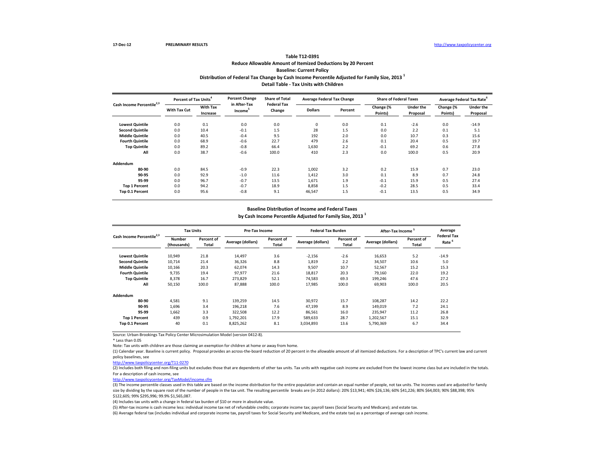### **Distribution of Federal Tax Change by Cash Income Percentile Adjusted for Family Size, 2013 <sup>1</sup> Detail Table - Tax Units with Children Table T12-0391 Reduce Allowable Amount of Itemized Deductions by 20 Percent Baseline: Current Policy**

| Cash Income Percentile <sup>2,3</sup> | Percent of Tax Units <sup>4</sup> |                             | <b>Percent Change</b><br>in After-Tax | <b>Share of Total</b><br><b>Federal Tax</b> | <b>Average Federal Tax Change</b> |         | <b>Share of Federal Taxes</b> |                              | Average Federal Tax Rate |                              |
|---------------------------------------|-----------------------------------|-----------------------------|---------------------------------------|---------------------------------------------|-----------------------------------|---------|-------------------------------|------------------------------|--------------------------|------------------------------|
|                                       | <b>With Tax Cut</b>               | <b>With Tax</b><br>Increase | Income <sup>-</sup>                   | Change                                      | <b>Dollars</b>                    | Percent | Change (%<br>Points)          | <b>Under the</b><br>Proposal | Change (%<br>Points)     | <b>Under the</b><br>Proposal |
| <b>Lowest Quintile</b>                | 0.0                               | 0.1                         | 0.0                                   | 0.0                                         | 0                                 | 0.0     | 0.1                           | $-2.6$                       | 0.0                      | $-14.9$                      |
| <b>Second Quintile</b>                | 0.0                               | 10.4                        | $-0.1$                                | 1.5                                         | 28                                | 1.5     | 0.0                           | 2.2                          | 0.1                      | 5.1                          |
| <b>Middle Quintile</b>                | 0.0                               | 40.5                        | $-0.4$                                | 9.5                                         | 192                               | 2.0     | 0.0                           | 10.7                         | 0.3                      | 15.6                         |
| <b>Fourth Quintile</b>                | 0.0                               | 68.9                        | $-0.6$                                | 22.7                                        | 479                               | 2.6     | 0.1                           | 20.4                         | 0.5                      | 19.7                         |
| <b>Top Quintile</b>                   | 0.0                               | 89.2                        | $-0.8$                                | 66.4                                        | 1,630                             | 2.2     | $-0.1$                        | 69.2                         | 0.6                      | 27.8                         |
| All                                   | 0.0                               | 38.7                        | $-0.6$                                | 100.0                                       | 410                               | 2.3     | 0.0                           | 100.0                        | 0.5                      | 20.9                         |
| Addendum                              |                                   |                             |                                       |                                             |                                   |         |                               |                              |                          |                              |
| 80-90                                 | 0.0                               | 84.5                        | $-0.9$                                | 22.3                                        | 1,002                             | 3.2     | 0.2                           | 15.9                         | 0.7                      | 23.0                         |
| 90-95                                 | 0.0                               | 92.9                        | $-1.0$                                | 11.6                                        | 1,412                             | 3.0     | 0.1                           | 8.9                          | 0.7                      | 24.8                         |
| 95-99                                 | 0.0                               | 96.7                        | $-0.7$                                | 13.5                                        | 1,671                             | 1.9     | $-0.1$                        | 15.9                         | 0.5                      | 27.4                         |
| <b>Top 1 Percent</b>                  | 0.0                               | 94.2                        | $-0.7$                                | 18.9                                        | 8,858                             | 1.5     | $-0.2$                        | 28.5                         | 0.5                      | 33.4                         |
| Top 0.1 Percent                       | 0.0                               | 95.6                        | $-0.8$                                | 9.1                                         | 46,547                            | 1.5     | $-0.1$                        | 13.5                         | 0.5                      | 34.9                         |

#### **Baseline Distribution of Income and Federal Taxes**

**by Cash Income Percentile Adjusted for Family Size, 2013 <sup>1</sup>**

| Cash Income Percentile <sup>2,3</sup> | <b>Tax Units</b>      |                     | Pre-Tax Income    |                     | <b>Federal Tax Burden</b> |                     | After-Tax Income  |                     | Average                                 |
|---------------------------------------|-----------------------|---------------------|-------------------|---------------------|---------------------------|---------------------|-------------------|---------------------|-----------------------------------------|
|                                       | Number<br>(thousands) | Percent of<br>Total | Average (dollars) | Percent of<br>Total | Average (dollars)         | Percent of<br>Total | Average (dollars) | Percent of<br>Total | <b>Federal Tax</b><br>Rate <sup>6</sup> |
| <b>Lowest Quintile</b>                | 10,949                | 21.8                | 14,497            | 3.6                 | $-2,156$                  | $-2.6$              | 16,653            | 5.2                 | $-14.9$                                 |
| <b>Second Quintile</b>                | 10.714                | 21.4                | 36,326            | 8.8                 | 1.819                     | 2.2                 | 34,507            | 10.6                | 5.0                                     |
| <b>Middle Quintile</b>                | 10,166                | 20.3                | 62,074            | 14.3                | 9,507                     | 10.7                | 52,567            | 15.2                | 15.3                                    |
| <b>Fourth Quintile</b>                | 9,735                 | 19.4                | 97,977            | 21.6                | 18,817                    | 20.3                | 79,160            | 22.0                | 19.2                                    |
| <b>Top Quintile</b>                   | 8,378                 | 16.7                | 273,829           | 52.1                | 74,583                    | 69.3                | 199,246           | 47.6                | 27.2                                    |
| All                                   | 50,150                | 100.0               | 87,888            | 100.0               | 17,985                    | 100.0               | 69,903            | 100.0               | 20.5                                    |
| Addendum                              |                       |                     |                   |                     |                           |                     |                   |                     |                                         |
| 80-90                                 | 4,581                 | 9.1                 | 139,259           | 14.5                | 30,972                    | 15.7                | 108,287           | 14.2                | 22.2                                    |
| 90-95                                 | 1,696                 | 3.4                 | 196,218           | 7.6                 | 47,199                    | 8.9                 | 149,019           | 7.2                 | 24.1                                    |
| 95-99                                 | 1,662                 | 3.3                 | 322,508           | 12.2                | 86,561                    | 16.0                | 235,947           | 11.2                | 26.8                                    |
| <b>Top 1 Percent</b>                  | 439                   | 0.9                 | 1,792,201         | 17.9                | 589,633                   | 28.7                | 1,202,567         | 15.1                | 32.9                                    |
| Top 0.1 Percent                       | 40                    | 0.1                 | 8,825,262         | 8.1                 | 3,034,893                 | 13.6                | 5,790,369         | 6.7                 | 34.4                                    |

Source: Urban-Brookings Tax Policy Center Microsimulation Model (version 0412-8).

\* Less than 0.05

Note: Tax units with children are those claiming an exemption for children at home or away from home.

(1) Calendar year. Baseline is current policy. Proposal provides an across-the-board reduction of 20 percent in the allowable amount of all itemized deductions. For a description of TPC's current law and current policy baselines, see

[http://www.taxpolicycente](http://www.taxpolicycenter.org/T11-0270)r.org/T11-0270

(2) Includes both filing and non-filing units but excludes those that are dependents of other tax units. Tax units with negative cash income are excluded from the lowest income class but are included in the totals. For a description of cash income, see

[http://www.taxpolicycente](http://www.taxpolicycenter.org/TaxModel/income.cfm)r.org/TaxModel/income.cfm

(3) The income percentile classes used in this table are based on the income distribution for the entire population and contain an equal number of people, not tax units. The incomes used are adjusted for family size by dividing by the square root of the number of people in the tax unit. The resulting percentile breaks are (in 2012 dollars): 20% \$13,941; 40% \$26,136; 60% \$41,226; 80% \$64,003; 90% \$88,398; 95% \$122,605; 99% \$295,996; 99.9% \$1,565,087.

(4) Includes tax units with a change in federal tax burden of \$10 or more in absolute value.

(5) After-tax income is cash income less: individual income tax net of refundable credits; corporate income tax; payroll taxes (Social Security and Medicare); and estate tax.